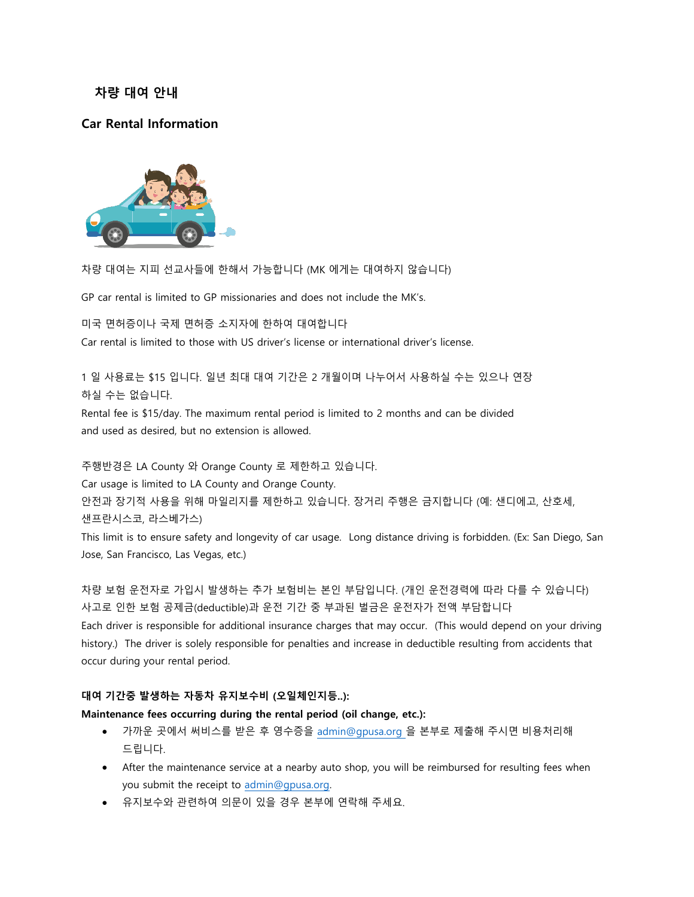# **차량 대여 안내**

# **Car Rental Information**



차량 대여는 지피 선교사들에 한해서 가능합니다 (MK 에게는 대여하지 않습니다)

GP car rental is limited to GP missionaries and does not include the MK's.

미국 면허증이나 국제 면허증 소지자에 한하여 대여합니다

Car rental is limited to those with US driver's license or international driver's license.

1 일 사용료는 \$15 입니다. 일년 최대 대여 기간은 2 개월이며 나누어서 사용하실 수는 있으나 연장 하실 수는 없습니다.

Rental fee is \$15/day. The maximum rental period is limited to 2 months and can be divided and used as desired, but no extension is allowed.

주행반경은 LA County 와 Orange County 로 제한하고 있습니다.

Car usage is limited to LA County and Orange County.

안전과 장기적 사용을 위해 마일리지를 제한하고 있습니다. 장거리 주행은 금지합니다 (예: 샌디에고, 산호세, 샌프란시스코, 라스베가스)

This limit is to ensure safety and longevity of car usage. Long distance driving is forbidden. (Ex: San Diego, San Jose, San Francisco, Las Vegas, etc.)

차량 보험 운전자로 가입시 발생하는 추가 보험비는 본인 부담입니다. (개인 운전경력에 따라 다를 수 있습니다) 사고로 인한 보험 공제금(deductible)과 운전 기간 중 부과된 벌금은 운전자가 전액 부담합니다 Each driver is responsible for additional insurance charges that may occur. (This would depend on your driving history.) The driver is solely responsible for penalties and increase in deductible resulting from accidents that occur during your rental period.

### **대여 기간중 발생하는 자동차 유지보수비 (오일체인지등..):**

### **Maintenance fees occurring during the rental period (oil change, etc.):**

- 가까운 곳에서 써비스를 받은 후 영수증을 admin@gpusa.org 을 본부로 제출해 주시면 비용처리해 드립니다.
- After the maintenance service at a nearby auto shop, you will be reimbursed for resulting fees when you submit the receipt to [admin@gpusa.org.](mailto:admin@gpusa.org)
- 유지보수와 관련하여 의문이 있을 경우 본부에 연락해 주세요.